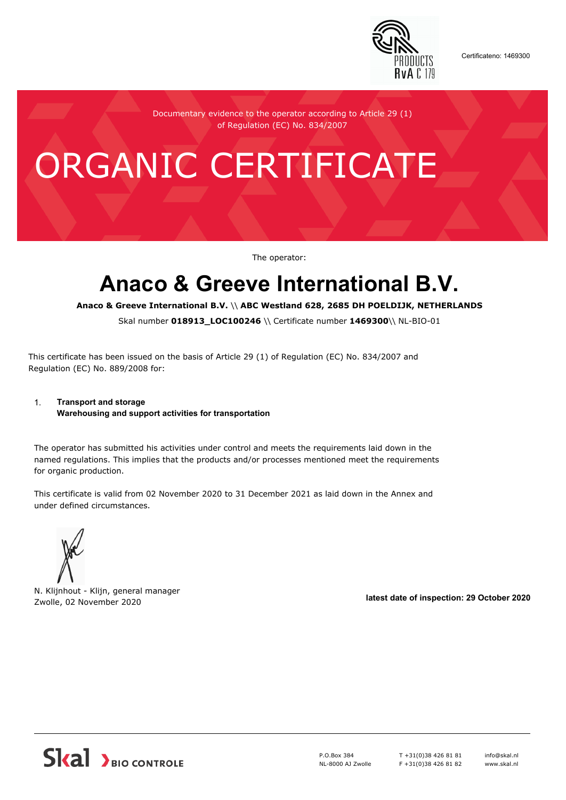

Certificateno: 1469300

Documentary evidence to the operator according to Article 29 (1) of Regulation (EC) No. 834/2007

# ORGANIC CERTIFICATE

The operator:

## **Anaco & Greeve International B.V.**

**Anaco & Greeve International B.V.** \\ **ABC Westland 628, 2685 DH POELDIJK, NETHERLANDS**

Skal number **018913\_LOC100246** \\ Certificate number **1469300**\\ NL-BIO-01

This certificate has been issued on the basis of Article 29 (1) of Regulation (EC) No. 834/2007 and Regulation (EC) No. 889/2008 for:

#### 1. **Transport and storage**

**Warehousing and support activities for transportation**

The operator has submitted his activities under control and meets the requirements laid down in the named regulations. This implies that the products and/or processes mentioned meet the requirements for organic production.

This certificate is valid from 02 November 2020 to 31 December 2021 as laid down in the Annex and under defined circumstances.



N. Klijnhout - Klijn, general manager Zwolle, 02 November 2020 **latest date of inspection: 29 October 2020**



P.O.Box 384 NL-8000 AJ Zwolle